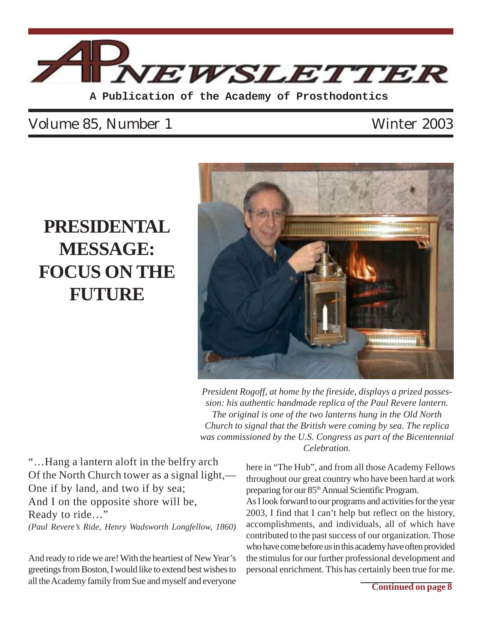

### Volume 85, Number 1 Winter 2003

## **PRESIDENTAL MESSAGE: FOCUS ON THE FUTURE**



*President Rogoff, at home by the fireside, displays a prized possession: his authentic handmade replica of the Paul Revere lantern. The original is one of the two lanterns hung in the Old North Church to signal that the British were coming by sea. The replica was commissioned by the U.S. Congress as part of the Bicentennial Celebration.*

"…Hang a lantern aloft in the belfry arch Of the North Church tower as a signal light,— One if by land, and two if by sea; And I on the opposite shore will be, Ready to ride…" *(Paul Revere's Ride, Henry Wadsworth Longfellow, 1860)*

And ready to ride we are! With the heartiest of New Year's greetings from Boston, I would like to extend best wishes to all the Academy family from Sue and myself and everyone

here in "The Hub", and from all those Academy Fellows throughout our great country who have been hard at work preparing for our 85<sup>th</sup> Annual Scientific Program. As I look forward to our programs and activities for the year 2003, I find that I can't help but reflect on the history, accomplishments, and individuals, all of which have contributed to the past success of our organization. Those who have come before us in this academy have often provided the stimulus for our further professional development and

personal enrichment. This has certainly been true for me.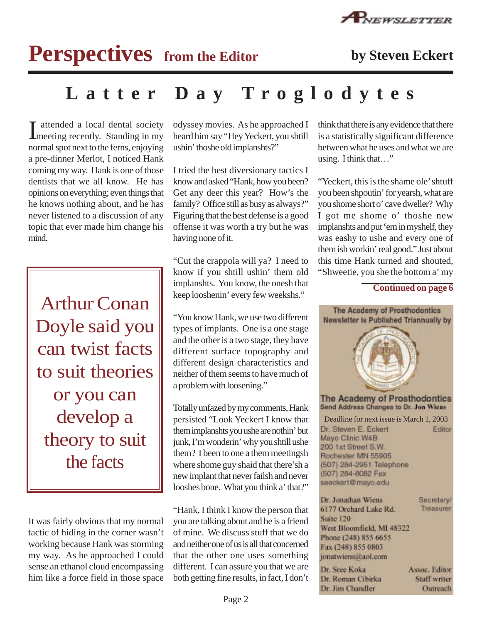

# **Perspectives** from the Editor by Steven Eckert

## **Latter Day Troglodytes**

I attended a local dental society<br>
meeting recently. Standing in my attended a local dental society normal spot next to the ferns, enjoying a pre-dinner Merlot, I noticed Hank coming my way. Hank is one of those dentists that we all know. He has opinions on everything; even things that he knows nothing about, and he has never listened to a discussion of any topic that ever made him change his mind.

Arthur Conan Doyle said you can twist facts to suit theories or you can develop a theory to suit the facts

It was fairly obvious that my normal tactic of hiding in the corner wasn't working because Hank was storming my way. As he approached I could sense an ethanol cloud encompassing him like a force field in those space

odyssey movies. As he approached I heard him say "Hey Yeckert, you shtill ushin' thoshe old implanshts?"

I tried the best diversionary tactics I know and asked "Hank, how you been? Get any deer this year? How's the family? Office still as busy as always?" Figuring that the best defense is a good offense it was worth a try but he was having none of it.

"Cut the crappola will ya? I need to know if you shtill ushin' them old implanshts. You know, the onesh that keep looshenin' every few weekshs."

"You know Hank, we use two different types of implants. One is a one stage and the other is a two stage, they have different surface topography and different design characteristics and neither of them seems to have much of a problem with loosening."

Totally unfazed by my comments, Hank persisted "Look Yeckert I know that them implanshts you ushe are nothin' but junk, I'm wonderin' why you shtill ushe them? I been to one a them meetingsh where shome guy shaid that there'sh a new implant that never failsh and never looshes bone. What you think a' that?"

"Hank, I think I know the person that you are talking about and he is a friend of mine. We discuss stuff that we do and neither one of us is all that concerned that the other one uses something different. I can assure you that we are both getting fine results, in fact, I don't

think that there is any evidence that there is a statistically significant difference between what he uses and what we are using. I think that…"

"Yeckert, this is the shame ole' shtuff you been shpoutin' for yearsh, what are you shome short o' cave dweller? Why I got me shome o' thoshe new implanshts and put 'em in myshelf, they was eashy to ushe and every one of them ish workin' real good." Just about this time Hank turned and shouted, "Shweetie, you she the bottom a' my

### **Continued on page 6**

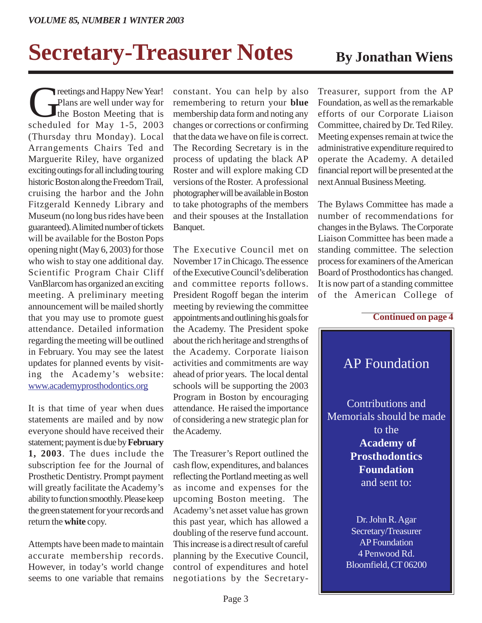# **Secretary-Treasurer Notes** By Jonathan Wiens

The Plans are well under way for<br>The Boston Meeting that is<br>scheduled for May 1-5 2003 Plans are well under way for the Boston Meeting that is scheduled for May 1-5, 2003 (Thursday thru Monday). Local Arrangements Chairs Ted and Marguerite Riley, have organized exciting outings for all including touring historic Boston along the Freedom Trail, cruising the harbor and the John Fitzgerald Kennedy Library and Museum (no long bus rides have been guaranteed). A limited number of tickets will be available for the Boston Pops opening night (May 6, 2003) for those who wish to stay one additional day. Scientific Program Chair Cliff VanBlarcom has organized an exciting meeting. A preliminary meeting announcement will be mailed shortly that you may use to promote guest attendance. Detailed information regarding the meeting will be outlined in February. You may see the latest updates for planned events by visiting the Academy's website: www.academyprosthodontics.org

It is that time of year when dues statements are mailed and by now everyone should have received their statement; payment is due by **February 1, 2003**. The dues include the subscription fee for the Journal of Prosthetic Dentistry. Prompt payment will greatly facilitate the Academy's ability to function smoothly. Please keep the green statement for your records and return the **white** copy.

Attempts have been made to maintain accurate membership records. However, in today's world change seems to one variable that remains

constant. You can help by also remembering to return your **blue** membership data form and noting any changes or corrections or confirming that the data we have on file is correct. The Recording Secretary is in the process of updating the black AP Roster and will explore making CD versions of the Roster. A professional photographer will be available in Boston to take photographs of the members and their spouses at the Installation Banquet.

The Executive Council met on November 17 in Chicago. The essence of the Executive Council's deliberation and committee reports follows. President Rogoff began the interim meeting by reviewing the committee appointments and outlining his goals for the Academy. The President spoke about the rich heritage and strengths of the Academy. Corporate liaison activities and commitments are way ahead of prior years. The local dental schools will be supporting the 2003 Program in Boston by encouraging attendance. He raised the importance of considering a new strategic plan for the Academy.

The Treasurer's Report outlined the cash flow, expenditures, and balances reflecting the Portland meeting as well as income and expenses for the upcoming Boston meeting. The Academy's net asset value has grown this past year, which has allowed a doubling of the reserve fund account. This increase is a direct result of careful planning by the Executive Council, control of expenditures and hotel negotiations by the Secretary-

Treasurer, support from the AP Foundation, as well as the remarkable efforts of our Corporate Liaison Committee, chaired by Dr. Ted Riley. Meeting expenses remain at twice the administrative expenditure required to operate the Academy. A detailed financial report will be presented at the next Annual Business Meeting.

The Bylaws Committee has made a number of recommendations for changes in the Bylaws. The Corporate Liaison Committee has been made a standing committee. The selection process for examiners of the American Board of Prosthodontics has changed. It is now part of a standing committee of the American College of

#### **Continued on page 4**



Secretary/Treasurer AP Foundation 4 Penwood Rd. Bloomfield, CT 06200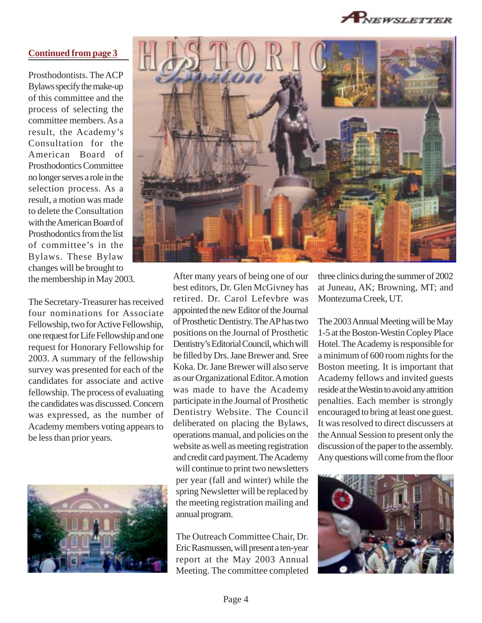PNEWSLETTER

### **Continued from page 3**

Prosthodontists. The ACP Bylaws specify the make-up of this committee and the process of selecting the committee members. As a result, the Academy's Consultation for the American Board of Prosthodontics Committee no longer serves a role in the selection process. As a result, a motion was made to delete the Consultation with the American Board of Prosthodontics from the list of committee's in the Bylaws. These Bylaw changes will be brought to the membership in May 2003.

The Secretary-Treasurer has received four nominations for Associate Fellowship, two for Active Fellowship, one request for Life Fellowship and one request for Honorary Fellowship for 2003. A summary of the fellowship survey was presented for each of the candidates for associate and active fellowship. The process of evaluating the candidates was discussed. Concern was expressed, as the number of Academy members voting appears to be less than prior years.





After many years of being one of our best editors, Dr. Glen McGivney has retired. Dr. Carol Lefevbre was appointed the new Editor of the Journal of Prosthetic Dentistry. The AP has two positions on the Journal of Prosthetic Dentistry's Editorial Council, which will be filled by Drs. Jane Brewer and. Sree Koka. Dr. Jane Brewer will also serve as our Organizational Editor. A motion was made to have the Academy participate in the Journal of Prosthetic Dentistry Website. The Council deliberated on placing the Bylaws, operations manual, and policies on the website as well as meeting registration and credit card payment. The Academy will continue to print two newsletters per year (fall and winter) while the spring Newsletter will be replaced by the meeting registration mailing and annual program.

The Outreach Committee Chair, Dr. Eric Rasmussen, will present a ten-year report at the May 2003 Annual Meeting. The committee completed

three clinics during the summer of 2002 at Juneau, AK; Browning, MT; and Montezuma Creek, UT.

The 2003 Annual Meeting will be May 1-5 at the Boston-Westin Copley Place Hotel. The Academy is responsible for a minimum of 600 room nights for the Boston meeting. It is important that Academy fellows and invited guests reside at the Westin to avoid any attrition penalties. Each member is strongly encouraged to bring at least one guest. It was resolved to direct discussers at the Annual Session to present only the discussion of the paper to the assembly. Any questions will come from the floor

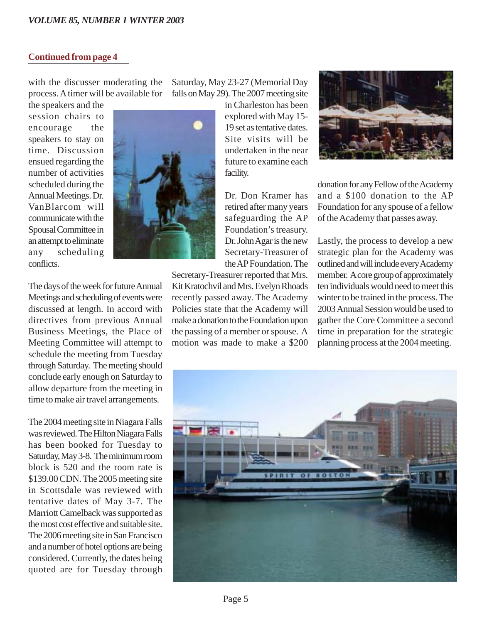#### **Continued from page 4**

with the discusser moderating the process. A timer will be available for

the speakers and the session chairs to encourage the speakers to stay on time. Discussion ensued regarding the number of activities scheduled during the Annual Meetings. Dr. VanBlarcom will communicate with the Spousal Committee in an attempt to eliminate any scheduling conflicts.

The days of the week for future Annual Meetings and scheduling of events were discussed at length. In accord with directives from previous Annual Business Meetings, the Place of Meeting Committee will attempt to schedule the meeting from Tuesday through Saturday. The meeting should conclude early enough on Saturday to allow departure from the meeting in time to make air travel arrangements.

The 2004 meeting site in Niagara Falls was reviewed. The Hilton Niagara Falls has been booked for Tuesday to Saturday, May 3-8. The minimum room block is 520 and the room rate is \$139.00 CDN. The 2005 meeting site in Scottsdale was reviewed with tentative dates of May 3-7. The Marriott Camelback was supported as the most cost effective and suitable site. The 2006 meeting site in San Francisco and a number of hotel options are being considered. Currently, the dates being quoted are for Tuesday through Saturday, May 23-27 (Memorial Day falls on May 29). The 2007 meeting site

> in Charleston has been explored with May 15- 19 set as tentative dates. Site visits will be undertaken in the near future to examine each facility.

Dr. Don Kramer has retired after many years safeguarding the AP Foundation's treasury. Dr. John Agar is the new Secretary-Treasurer of the AP Foundation. The

Secretary-Treasurer reported that Mrs. Kit Kratochvil and Mrs. Evelyn Rhoads recently passed away. The Academy Policies state that the Academy will make a donation to the Foundation upon the passing of a member or spouse. A motion was made to make a \$200



donation for any Fellow of the Academy and a \$100 donation to the AP Foundation for any spouse of a fellow of the Academy that passes away.

Lastly, the process to develop a new strategic plan for the Academy was outlined and will include every Academy member. A core group of approximately ten individuals would need to meet this winter to be trained in the process. The 2003 Annual Session would be used to gather the Core Committee a second time in preparation for the strategic planning process at the 2004 meeting.

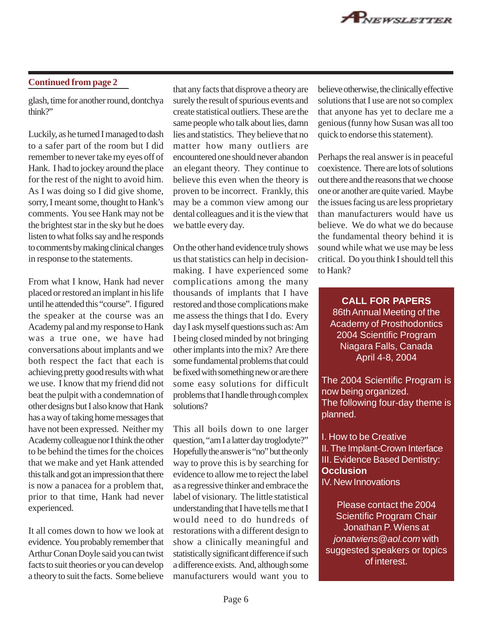glash, time for another round, dontchya think?"

Luckily, as he turned I managed to dash to a safer part of the room but I did remember to never take my eyes off of Hank. I had to jockey around the place for the rest of the night to avoid him. As I was doing so I did give shome, sorry, I meant some, thought to Hank's comments. You see Hank may not be the brightest star in the sky but he does listen to what folks say and he responds to comments by making clinical changes in response to the statements.

From what I know, Hank had never placed or restored an implant in his life until he attended this "course". I figured the speaker at the course was an Academy pal and my response to Hank was a true one, we have had conversations about implants and we both respect the fact that each is achieving pretty good results with what we use. I know that my friend did not beat the pulpit with a condemnation of other designs but I also know that Hank has a way of taking home messages that have not been expressed. Neither my Academy colleague nor I think the other to be behind the times for the choices that we make and yet Hank attended this talk and got an impression that there is now a panacea for a problem that, prior to that time, Hank had never experienced.

It all comes down to how we look at evidence. You probably remember that Arthur Conan Doyle said you can twist facts to suit theories or you can develop a theory to suit the facts. Some believe

**Continued from page 2** that any facts that disprove a theory are believe otherwise, the clinically effective surely the result of spurious events and create statistical outliers. These are the same people who talk about lies, damn lies and statistics. They believe that no matter how many outliers are encountered one should never abandon an elegant theory. They continue to believe this even when the theory is proven to be incorrect. Frankly, this may be a common view among our dental colleagues and it is the view that we battle every day.

> On the other hand evidence truly shows us that statistics can help in decisionmaking. I have experienced some complications among the many thousands of implants that I have restored and those complications make me assess the things that I do. Every day I ask myself questions such as: Am I being closed minded by not bringing other implants into the mix? Are there some fundamental problems that could be fixed with something new or are there some easy solutions for difficult problems that I handle through complex solutions?

> This all boils down to one larger question, "am I a latter day troglodyte?" Hopefully the answer is "no" but the only way to prove this is by searching for evidence to allow me to reject the label as a regressive thinker and embrace the label of visionary. The little statistical understanding that I have tells me that I would need to do hundreds of restorations with a different design to show a clinically meaningful and statistically significant difference if such a difference exists. And, although some manufacturers would want you to

solutions that I use are not so complex that anyone has yet to declare me a genious (funny how Susan was all too quick to endorse this statement).

Perhaps the real answer is in peaceful coexistence. There are lots of solutions out there and the reasons that we choose one or another are quite varied. Maybe the issues facing us are less proprietary than manufacturers would have us believe. We do what we do because the fundamental theory behind it is sound while what we use may be less critical. Do you think I should tell this to Hank?

**CALL FOR PAPERS** 86th Annual Meeting of the Academy of Prosthodontics 2004 Scientific Program Niagara Falls, Canada April 4-8, 2004

The 2004 Scientific Program is now being organized. The following four-day theme is planned.

I. How to be Creative II. The Implant-Crown Interface III. Evidence Based Dentistry: **Occlusion** IV. New Innovations

Please contact the 2004 Scientific Program Chair Jonathan P. Wiens at jonatwiens@aol.com with suggested speakers or topics of interest.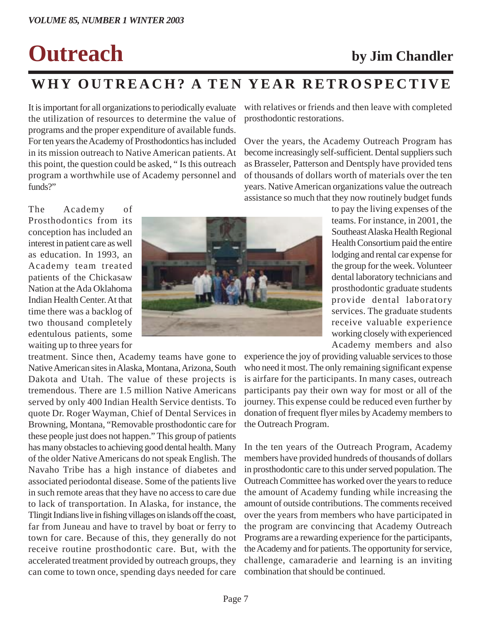# **Outreach by Jim Chandler**

## **WHY OUTREACH? A TEN YEAR RETROSPECTIVE**

It is important for all organizations to periodically evaluate the utilization of resources to determine the value of programs and the proper expenditure of available funds. For ten years the Academy of Prosthodontics has included in its mission outreach to Native American patients. At this point, the question could be asked, " Is this outreach program a worthwhile use of Academy personnel and funds?"

with relatives or friends and then leave with completed prosthodontic restorations.

Over the years, the Academy Outreach Program has become increasingly self-sufficient. Dental suppliers such as Brasseler, Patterson and Dentsply have provided tens of thousands of dollars worth of materials over the ten years. Native American organizations value the outreach assistance so much that they now routinely budget funds

The Academy of Prosthodontics from its conception has included an interest in patient care as well as education. In 1993, an Academy team treated patients of the Chickasaw Nation at the Ada Oklahoma Indian Health Center. At that time there was a backlog of two thousand completely edentulous patients, some waiting up to three years for

treatment. Since then, Academy teams have gone to Native American sites in Alaska, Montana, Arizona, South Dakota and Utah. The value of these projects is tremendous. There are 1.5 million Native Americans served by only 400 Indian Health Service dentists. To quote Dr. Roger Wayman, Chief of Dental Services in Browning, Montana, "Removable prosthodontic care for these people just does not happen." This group of patients has many obstacles to achieving good dental health. Many of the older Native Americans do not speak English. The Navaho Tribe has a high instance of diabetes and associated periodontal disease. Some of the patients live in such remote areas that they have no access to care due to lack of transportation. In Alaska, for instance, the Tlingit Indians live in fishing villages on islands off the coast, far from Juneau and have to travel by boat or ferry to town for care. Because of this, they generally do not receive routine prosthodontic care. But, with the accelerated treatment provided by outreach groups, they can come to town once, spending days needed for care



to pay the living expenses of the teams. For instance, in 2001, the Southeast Alaska Health Regional Health Consortium paid the entire lodging and rental car expense for the group for the week. Volunteer dental laboratory technicians and prosthodontic graduate students provide dental laboratory services. The graduate students receive valuable experience working closely with experienced Academy members and also

experience the joy of providing valuable services to those who need it most. The only remaining significant expense is airfare for the participants. In many cases, outreach participants pay their own way for most or all of the journey. This expense could be reduced even further by donation of frequent flyer miles by Academy members to the Outreach Program.

In the ten years of the Outreach Program, Academy members have provided hundreds of thousands of dollars in prosthodontic care to this under served population. The Outreach Committee has worked over the years to reduce the amount of Academy funding while increasing the amount of outside contributions. The comments received over the years from members who have participated in the program are convincing that Academy Outreach Programs are a rewarding experience for the participants, the Academy and for patients. The opportunity for service, challenge, camaraderie and learning is an inviting combination that should be continued.